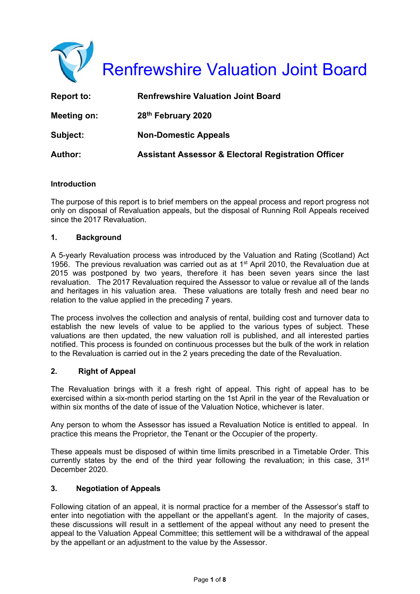

| Report to:     | <b>Renfrewshire Valuation Joint Board</b>                      |
|----------------|----------------------------------------------------------------|
| Meeting on:    | 28th February 2020                                             |
| Subject:       | <b>Non-Domestic Appeals</b>                                    |
| <b>Author:</b> | <b>Assistant Assessor &amp; Electoral Registration Officer</b> |

#### **Introduction**

The purpose of this report is to brief members on the appeal process and report progress not only on disposal of Revaluation appeals, but the disposal of Running Roll Appeals received since the 2017 Revaluation.

## **1. Background**

A 5-yearly Revaluation process was introduced by the Valuation and Rating (Scotland) Act 1956. The previous revaluation was carried out as at  $1<sup>st</sup>$  April 2010, the Revaluation due at 2015 was postponed by two years, therefore it has been seven years since the last revaluation. The 2017 Revaluation required the Assessor to value or revalue all of the lands and heritages in his valuation area. These valuations are totally fresh and need bear no relation to the value applied in the preceding 7 years.

The process involves the collection and analysis of rental, building cost and turnover data to establish the new levels of value to be applied to the various types of subject. These valuations are then updated, the new valuation roll is published, and all interested parties notified. This process is founded on continuous processes but the bulk of the work in relation to the Revaluation is carried out in the 2 years preceding the date of the Revaluation.

#### **2. Right of Appeal**

The Revaluation brings with it a fresh right of appeal. This right of appeal has to be exercised within a six-month period starting on the 1st April in the year of the Revaluation or within six months of the date of issue of the Valuation Notice, whichever is later.

Any person to whom the Assessor has issued a Revaluation Notice is entitled to appeal. In practice this means the Proprietor, the Tenant or the Occupier of the property.

These appeals must be disposed of within time limits prescribed in a Timetable Order. This currently states by the end of the third year following the revaluation; in this case,  $31<sup>st</sup>$ December 2020.

#### **3. Negotiation of Appeals**

Following citation of an appeal, it is normal practice for a member of the Assessor's staff to enter into negotiation with the appellant or the appellant's agent. In the majority of cases, these discussions will result in a settlement of the appeal without any need to present the appeal to the Valuation Appeal Committee; this settlement will be a withdrawal of the appeal by the appellant or an adjustment to the value by the Assessor.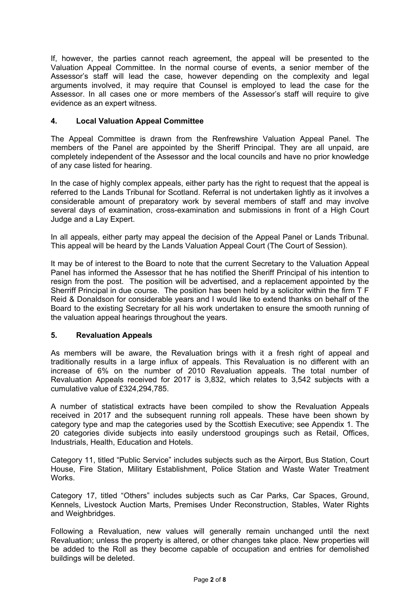If, however, the parties cannot reach agreement, the appeal will be presented to the Valuation Appeal Committee. In the normal course of events, a senior member of the Assessor's staff will lead the case, however depending on the complexity and legal arguments involved, it may require that Counsel is employed to lead the case for the Assessor. In all cases one or more members of the Assessor's staff will require to give evidence as an expert witness.

## **4. Local Valuation Appeal Committee**

The Appeal Committee is drawn from the Renfrewshire Valuation Appeal Panel. The members of the Panel are appointed by the Sheriff Principal. They are all unpaid, are completely independent of the Assessor and the local councils and have no prior knowledge of any case listed for hearing.

In the case of highly complex appeals, either party has the right to request that the appeal is referred to the Lands Tribunal for Scotland. Referral is not undertaken lightly as it involves a considerable amount of preparatory work by several members of staff and may involve several days of examination, cross-examination and submissions in front of a High Court Judge and a Lay Expert.

In all appeals, either party may appeal the decision of the Appeal Panel or Lands Tribunal. This appeal will be heard by the Lands Valuation Appeal Court (The Court of Session).

It may be of interest to the Board to note that the current Secretary to the Valuation Appeal Panel has informed the Assessor that he has notified the Sheriff Principal of his intention to resign from the post. The position will be advertised, and a replacement appointed by the Sherriff Principal in due course. The position has been held by a solicitor within the firm T F Reid & Donaldson for considerable years and I would like to extend thanks on behalf of the Board to the existing Secretary for all his work undertaken to ensure the smooth running of the valuation appeal hearings throughout the years.

## **5. Revaluation Appeals**

As members will be aware, the Revaluation brings with it a fresh right of appeal and traditionally results in a large influx of appeals. This Revaluation is no different with an increase of 6% on the number of 2010 Revaluation appeals. The total number of Revaluation Appeals received for 2017 is 3,832, which relates to 3,542 subjects with a cumulative value of £324,294,785.

A number of statistical extracts have been compiled to show the Revaluation Appeals received in 2017 and the subsequent running roll appeals. These have been shown by category type and map the categories used by the Scottish Executive; see Appendix 1. The 20 categories divide subjects into easily understood groupings such as Retail, Offices, Industrials, Health, Education and Hotels.

Category 11, titled "Public Service" includes subjects such as the Airport, Bus Station, Court House, Fire Station, Military Establishment, Police Station and Waste Water Treatment Works.

Category 17, titled "Others" includes subjects such as Car Parks, Car Spaces, Ground, Kennels, Livestock Auction Marts, Premises Under Reconstruction, Stables, Water Rights and Weighbridges.

Following a Revaluation, new values will generally remain unchanged until the next Revaluation; unless the property is altered, or other changes take place. New properties will be added to the Roll as they become capable of occupation and entries for demolished buildings will be deleted.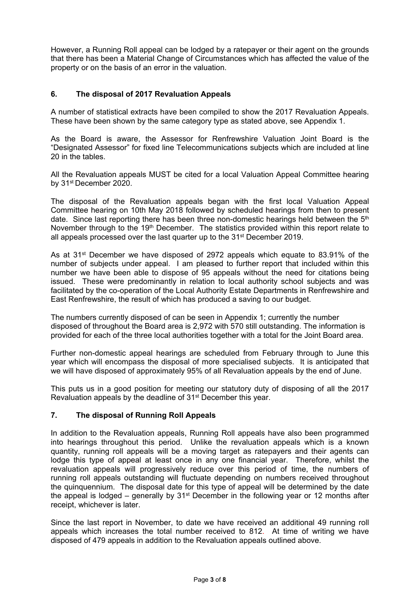However, a Running Roll appeal can be lodged by a ratepayer or their agent on the grounds that there has been a Material Change of Circumstances which has affected the value of the property or on the basis of an error in the valuation.

## **6. The disposal of 2017 Revaluation Appeals**

A number of statistical extracts have been compiled to show the 2017 Revaluation Appeals. These have been shown by the same category type as stated above, see Appendix 1.

As the Board is aware, the Assessor for Renfrewshire Valuation Joint Board is the "Designated Assessor" for fixed line Telecommunications subjects which are included at line 20 in the tables.

All the Revaluation appeals MUST be cited for a local Valuation Appeal Committee hearing by 31st December 2020.

The disposal of the Revaluation appeals began with the first local Valuation Appeal Committee hearing on 10th May 2018 followed by scheduled hearings from then to present date. Since last reporting there has been three non-domestic hearings held between the 5<sup>th</sup> November through to the 19<sup>th</sup> December. The statistics provided within this report relate to all appeals processed over the last quarter up to the 31st December 2019.

As at 31<sup>st</sup> December we have disposed of 2972 appeals which equate to 83.91% of the number of subjects under appeal. I am pleased to further report that included within this number we have been able to dispose of 95 appeals without the need for citations being issued. These were predominantly in relation to local authority school subjects and was facilitated by the co-operation of the Local Authority Estate Departments in Renfrewshire and East Renfrewshire, the result of which has produced a saving to our budget.

The numbers currently disposed of can be seen in Appendix 1; currently the number disposed of throughout the Board area is 2,972 with 570 still outstanding. The information is provided for each of the three local authorities together with a total for the Joint Board area.

Further non-domestic appeal hearings are scheduled from February through to June this year which will encompass the disposal of more specialised subjects. It is anticipated that we will have disposed of approximately 95% of all Revaluation appeals by the end of June.

This puts us in a good position for meeting our statutory duty of disposing of all the 2017 Revaluation appeals by the deadline of 31<sup>st</sup> December this year.

## **7. The disposal of Running Roll Appeals**

In addition to the Revaluation appeals, Running Roll appeals have also been programmed into hearings throughout this period. Unlike the revaluation appeals which is a known quantity, running roll appeals will be a moving target as ratepayers and their agents can lodge this type of appeal at least once in any one financial year. Therefore, whilst the revaluation appeals will progressively reduce over this period of time, the numbers of running roll appeals outstanding will fluctuate depending on numbers received throughout the quinquennium. The disposal date for this type of appeal will be determined by the date the appeal is lodged – generally by  $31<sup>st</sup>$  December in the following year or 12 months after receipt, whichever is later.

Since the last report in November, to date we have received an additional 49 running roll appeals which increases the total number received to 812. At time of writing we have disposed of 479 appeals in addition to the Revaluation appeals outlined above.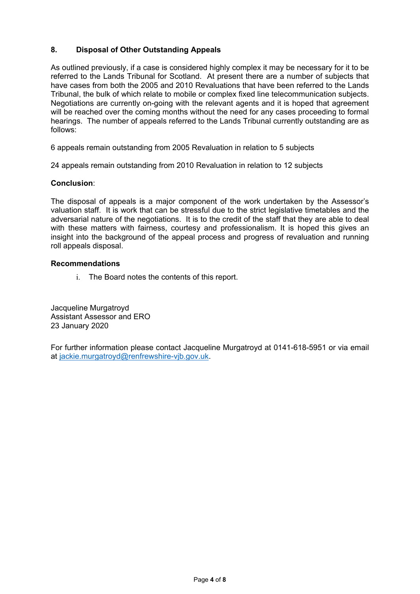# **8. Disposal of Other Outstanding Appeals**

As outlined previously, if a case is considered highly complex it may be necessary for it to be referred to the Lands Tribunal for Scotland. At present there are a number of subjects that have cases from both the 2005 and 2010 Revaluations that have been referred to the Lands Tribunal, the bulk of which relate to mobile or complex fixed line telecommunication subjects. Negotiations are currently on-going with the relevant agents and it is hoped that agreement will be reached over the coming months without the need for any cases proceeding to formal hearings. The number of appeals referred to the Lands Tribunal currently outstanding are as follows:

6 appeals remain outstanding from 2005 Revaluation in relation to 5 subjects

24 appeals remain outstanding from 2010 Revaluation in relation to 12 subjects

#### **Conclusion**:

The disposal of appeals is a major component of the work undertaken by the Assessor's valuation staff. It is work that can be stressful due to the strict legislative timetables and the adversarial nature of the negotiations. It is to the credit of the staff that they are able to deal with these matters with fairness, courtesy and professionalism. It is hoped this gives an insight into the background of the appeal process and progress of revaluation and running roll appeals disposal.

#### **Recommendations**

i. The Board notes the contents of this report.

Jacqueline Murgatroyd Assistant Assessor and ERO 23 January 2020

For further information please contact Jacqueline Murgatroyd at 0141-618-5951 or via email at jackie.murgatroyd@renfrewshire-vjb.gov.uk.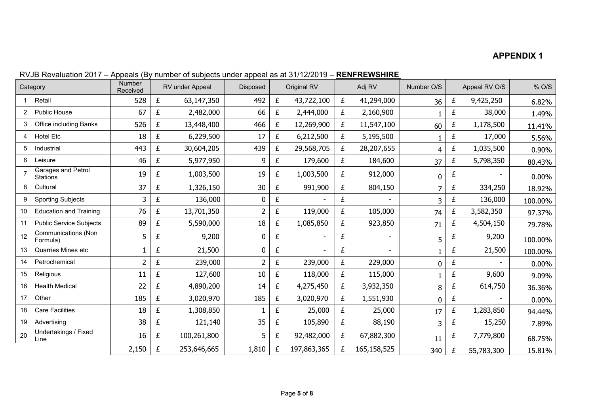# **APPENDIX 1**

|                | Category                               | Number<br>Received |   | RV under Appeal | Disposed       |   | Original RV |   | Adj RV      | Number O/S |   | Appeal RV O/S | % O/S    |
|----------------|----------------------------------------|--------------------|---|-----------------|----------------|---|-------------|---|-------------|------------|---|---------------|----------|
|                | Retail                                 | 528                | £ | 63,147,350      | 492            | £ | 43,722,100  | £ | 41,294,000  | 36         | £ | 9,425,250     | 6.82%    |
| $\overline{2}$ | <b>Public House</b>                    | 67                 | £ | 2,482,000       | 66             | £ | 2,444,000   | £ | 2,160,900   |            | £ | 38,000        | 1.49%    |
|                | <b>Office including Banks</b>          | 526                | £ | 13,448,400      | 466            | £ | 12,269,900  | £ | 11,547,100  | 60         | £ | 1,178,500     | 11.41%   |
| 4              | <b>Hotel Etc</b>                       | 18                 | £ | 6,229,500       | 17             | £ | 6,212,500   | £ | 5,195,500   |            | £ | 17,000        | 5.56%    |
| 5              | Industrial                             | 443                | £ | 30,604,205      | 439            | £ | 29,568,705  | £ | 28,207,655  | 4          | £ | 1,035,500     | 0.90%    |
| 6              | Leisure                                | 46                 | £ | 5,977,950       | 9              | £ | 179,600     | £ | 184,600     | 37         | £ | 5,798,350     | 80.43%   |
|                | Garages and Petrol<br><b>Stations</b>  | 19                 | £ | 1,003,500       | 19             | £ | 1,003,500   | £ | 912,000     | 0          | £ |               | 0.00%    |
| 8              | Cultural                               | 37                 | £ | 1,326,150       | 30             | £ | 991,900     | £ | 804,150     | 7          | £ | 334,250       | 18.92%   |
| 9              | <b>Sporting Subjects</b>               | 3                  | £ | 136,000         | 0              | £ |             | £ |             | 3          | £ | 136,000       | 100.00%  |
| 10             | <b>Education and Training</b>          | 76                 | £ | 13,701,350      | $\overline{2}$ | £ | 119,000     | £ | 105,000     | 74         | £ | 3,582,350     | 97.37%   |
| 11             | <b>Public Service Subjects</b>         | 89                 | £ | 5,590,000       | 18             | £ | 1,085,850   | £ | 923,850     | 71         | £ | 4,504,150     | 79.78%   |
| 12             | <b>Communications (Non</b><br>Formula) | 5                  | £ | 9,200           | 0              | £ |             | £ |             | 5          | £ | 9,200         | 100.00%  |
| 13             | <b>Quarries Mines etc</b>              |                    | £ | 21,500          | $\mathbf 0$    | £ |             | £ | $\sim$      |            | £ | 21,500        | 100.00%  |
| 14             | Petrochemical                          | 2                  | £ | 239,000         | 2              | £ | 239,000     | £ | 229,000     | 0          | £ |               | 0.00%    |
| 15             | Religious                              | 11                 | £ | 127,600         | 10             | £ | 118,000     | £ | 115,000     |            | £ | 9,600         | 9.09%    |
| 16             | <b>Health Medical</b>                  | 22                 | £ | 4,890,200       | 14             | £ | 4,275,450   | £ | 3,932,350   | 8          | £ | 614,750       | 36.36%   |
| 17             | Other                                  | 185                | £ | 3,020,970       | 185            | £ | 3,020,970   | £ | 1,551,930   | 0          | £ |               | $0.00\%$ |
| 18             | <b>Care Facilities</b>                 | 18                 | £ | 1,308,850       |                | £ | 25,000      | £ | 25,000      | 17         | £ | 1,283,850     | 94.44%   |
| 19             | Advertising                            | 38                 | £ | 121,140         | 35             | £ | 105,890     | £ | 88,190      | 3          | £ | 15,250        | 7.89%    |
| 20             | Undertakings / Fixed<br>Line           | 16                 | £ | 100,261,800     | 5              | £ | 92,482,000  | £ | 67,882,300  | 11         | £ | 7,779,800     | 68.75%   |
|                |                                        | 2,150              | £ | 253,646,665     | 1,810          | £ | 197,863,365 | £ | 165,158,525 | 340        | £ | 55,783,300    | 15.81%   |

RVJB Revaluation 2017 – Appeals (By number of subjects under appeal as at 31/12/2019 – **RENFREWSHIRE**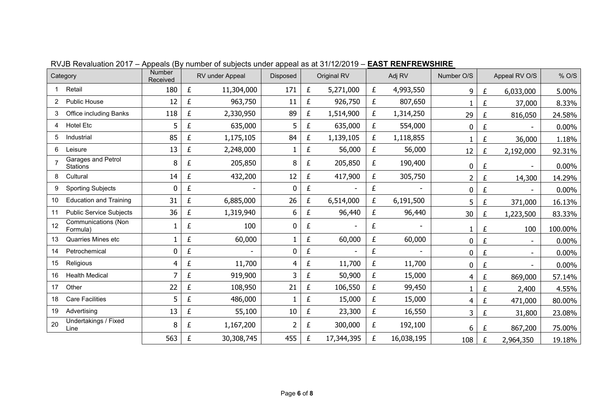| Category                                     |  | Number<br>Received |   | RV under Appeal | Disposed     |   | Original RV              |   | Adj RV<br>Number O/S |                |   | Appeal RV O/S | % O/S    |
|----------------------------------------------|--|--------------------|---|-----------------|--------------|---|--------------------------|---|----------------------|----------------|---|---------------|----------|
| Retail                                       |  | 180                | £ | 11,304,000      | 171          | £ | 5,271,000                | £ | 4,993,550            | 9              | £ | 6,033,000     | 5.00%    |
| Public House<br>$\overline{2}$               |  | 12                 | £ | 963,750         | 11           | £ | 926,750                  | £ | 807,650              |                | £ | 37,000        | 8.33%    |
| Office including Banks                       |  | 118                | £ | 2,330,950       | 89           | £ | 1,514,900                | £ | 1,314,250            | 29             | £ | 816,050       | 24.58%   |
| <b>Hotel Etc</b><br>4                        |  | 5                  | £ | 635,000         | 5            | £ | 635,000                  | £ | 554,000              | $\mathbf 0$    | £ |               | $0.00\%$ |
| 5<br>Industrial                              |  | 85                 | £ | 1,175,105       | 84           | £ | 1,139,105                | £ | 1,118,855            |                | £ | 36,000        | 1.18%    |
| Leisure<br>6                                 |  | 13                 | £ | 2,248,000       |              | £ | 56,000                   | £ | 56,000               | 12             | £ | 2,192,000     | 92.31%   |
| Garages and Petrol<br><b>Stations</b>        |  | 8                  | £ | 205,850         | 8            | £ | 205,850                  | £ | 190,400              | 0              | £ |               | 0.00%    |
| Cultural<br>8                                |  | 14                 | £ | 432,200         | 12           | £ | 417,900                  | £ | 305,750              | $\overline{2}$ | £ | 14,300        | 14.29%   |
| <b>Sporting Subjects</b><br>9                |  | 0                  | £ | $\sim$          | 0            | £ | $\blacksquare$           | £ | ۰                    | $\mathbf 0$    | £ |               | 0.00%    |
| <b>Education and Training</b><br>10          |  | 31                 | £ | 6,885,000       | 26           | £ | 6,514,000                | £ | 6,191,500            | 5              | £ | 371,000       | 16.13%   |
| <b>Public Service Subjects</b><br>11         |  | 36                 | £ | 1,319,940       | 6            | £ | 96,440                   | £ | 96,440               | 30             | £ | 1,223,500     | 83.33%   |
| <b>Communications (Non</b><br>12<br>Formula) |  |                    | £ | 100             | 0            | £ |                          | £ |                      |                | £ | 100           | 100.00%  |
| Quarries Mines etc<br>13                     |  |                    | £ | 60,000          | 1.           | £ | 60,000                   | £ | 60,000               | 0              | £ |               | 0.00%    |
| Petrochemical<br>14                          |  | 0                  | £ |                 | 0            | £ | $\overline{\phantom{a}}$ | £ |                      | 0              | £ |               | 0.00%    |
| Religious<br>15                              |  | 4                  | £ | 11,700          | 4            | £ | 11,700                   | £ | 11,700               | 0              | £ |               | $0.00\%$ |
| <b>Health Medical</b><br>16                  |  | 7                  | £ | 919,900         | 3            | £ | 50,900                   | £ | 15,000               | 4              | £ | 869,000       | 57.14%   |
| Other<br>17                                  |  | 22                 | £ | 108,950         | 21           | £ | 106,550                  | £ | 99,450               |                | £ | 2,400         | 4.55%    |
| <b>Care Facilities</b><br>18                 |  | 5                  | £ | 486,000         | $\mathbf{1}$ | £ | 15,000                   | £ | 15,000               | 4              | £ | 471,000       | 80.00%   |
| 19<br>Advertising                            |  | 13                 | £ | 55,100          | $10\,$       | £ | 23,300                   | £ | 16,550               | 3              | £ | 31,800        | 23.08%   |
| Undertakings / Fixed<br>20<br>Line           |  | 8                  | £ | 1,167,200       | 2            | £ | 300,000                  | £ | 192,100              | 6              | £ | 867,200       | 75.00%   |
|                                              |  | 563                | £ | 30,308,745      | 455          | £ | 17,344,395               | £ | 16,038,195           | 108            | £ | 2,964,350     | 19.18%   |

RVJB Revaluation 2017 – Appeals (By number of subjects under appeal as at 31/12/2019 – **EAST RENFREWSHIRE**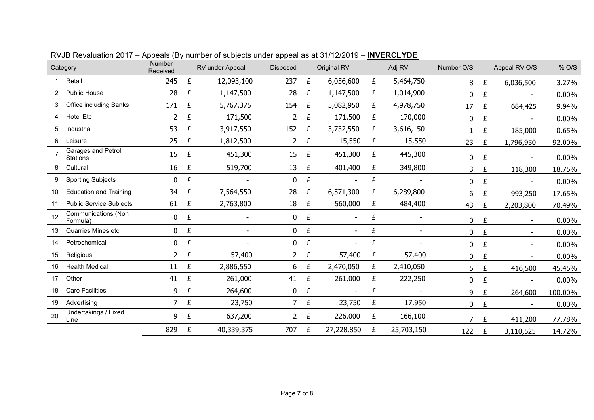| Category                                     | Number<br>Received |   | RV under Appeal          | <b>Disposed</b> |   | Original RV              | Adj RV |                          | Number O/S |   | Appeal RV O/S            | % O/S    |
|----------------------------------------------|--------------------|---|--------------------------|-----------------|---|--------------------------|--------|--------------------------|------------|---|--------------------------|----------|
| Retail                                       | 245                | £ | 12,093,100               | 237             | £ | 6,056,600                | £      | 5,464,750                | 8          | £ | 6,036,500                | 3.27%    |
| <b>Public House</b><br>2                     | 28                 | £ | 1,147,500                | 28              | £ | 1,147,500                | £      | 1,014,900                | 0          | £ |                          | 0.00%    |
| <b>Office including Banks</b><br>3           | 171                | £ | 5,767,375                | 154             | £ | 5,082,950                | £      | 4,978,750                | 17         | £ | 684,425                  | 9.94%    |
| <b>Hotel Etc</b><br>4                        | 2                  | £ | 171,500                  |                 | £ | 171,500                  | £      | 170,000                  | 0          | £ |                          | 0.00%    |
| 5<br>Industrial                              | 153                | £ | 3,917,550                | 152             | £ | 3,732,550                | £      | 3,616,150                |            | £ | 185,000                  | 0.65%    |
| 6<br>Leisure                                 | 25                 | £ | 1,812,500                | 2               | £ | 15,550                   | £      | 15,550                   | 23         | £ | 1,796,950                | 92.00%   |
| Garages and Petrol<br><b>Stations</b>        | 15                 | £ | 451,300                  | 15              | £ | 451,300                  | £      | 445,300                  | 0          | £ | $\overline{\phantom{a}}$ | 0.00%    |
| Cultural<br>8                                | 16                 | £ | 519,700                  | 13              | £ | 401,400                  | £      | 349,800                  | 3          | £ | 118,300                  | 18.75%   |
| <b>Sporting Subjects</b><br>9                | 0                  | £ |                          | 0               | £ |                          | £      | $\overline{a}$           | 0          | £ |                          | $0.00\%$ |
| <b>Education and Training</b><br>10          | 34                 | £ | 7,564,550                | 28              | £ | 6,571,300                | £      | 6,289,800                | 6          | £ | 993,250                  | 17.65%   |
| <b>Public Service Subjects</b><br>11         | 61                 | £ | 2,763,800                | 18              | £ | 560,000                  | £      | 484,400                  | 43         | £ | 2,203,800                | 70.49%   |
| <b>Communications (Non</b><br>12<br>Formula) | 0                  | £ | $\overline{\phantom{0}}$ | 0               | £ |                          | £      | $\overline{\phantom{a}}$ | 0          | £ | $\overline{\phantom{0}}$ | $0.00\%$ |
| <b>Quarries Mines etc</b><br>13              | 0                  | £ | $\blacksquare$           | 0               | £ | $\overline{\phantom{a}}$ | £      | $\blacksquare$           | 0          | £ |                          | 0.00%    |
| Petrochemical<br>14                          | 0                  | £ |                          | 0               | £ |                          | £      |                          | 0          | £ |                          | 0.00%    |
| 15<br>Religious                              | $\overline{2}$     | £ | 57,400                   | 2               | £ | 57,400                   | £      | 57,400                   | 0          | £ |                          | $0.00\%$ |
| <b>Health Medical</b><br>16                  | 11                 | £ | 2,886,550                | 6               | £ | 2,470,050                | £      | 2,410,050                | 5          | £ | 416,500                  | 45.45%   |
| Other<br>17                                  | 41                 | £ | 261,000                  | 41              | £ | 261,000                  | £      | 222,250                  | 0          | £ |                          | 0.00%    |
| <b>Care Facilities</b><br>18                 | 9                  | £ | 264,600                  | $\mathbf 0$     | £ |                          | £      |                          | 9          | £ | 264,600                  | 100.00%  |
| Advertising<br>19                            | 7                  | £ | 23,750                   | 7               | £ | 23,750                   | £      | 17,950                   | 0          | £ |                          | 0.00%    |
| Undertakings / Fixed<br>20<br>Line           | 9                  | £ | 637,200                  | 2               | £ | 226,000                  | £      | 166,100                  | 7          | £ | 411,200                  | 77.78%   |
|                                              | 829                | £ | 40,339,375               | 707             | £ | 27,228,850               | £      | 25,703,150               | 122        | £ | 3,110,525                | 14.72%   |

RVJB Revaluation 2017 – Appeals (By number of subjects under appeal as at 31/12/2019 – **INVERCLYDE**